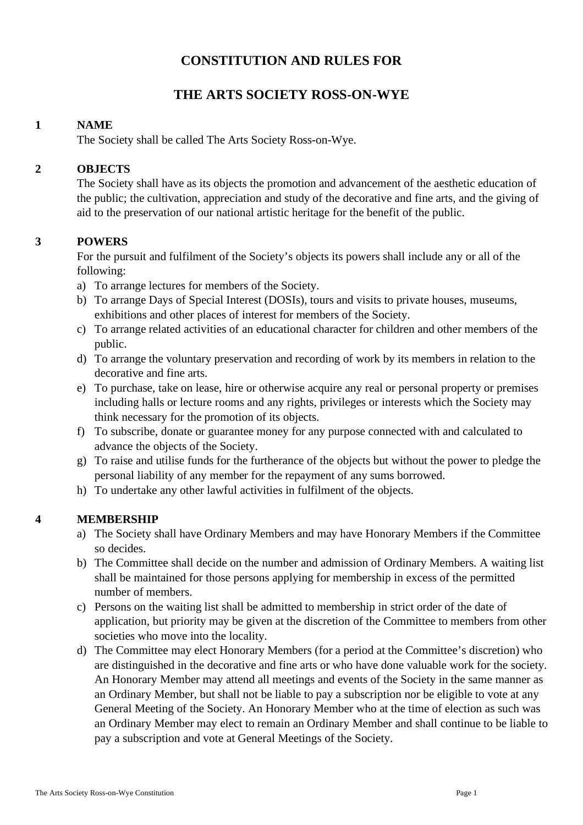# **CONSTITUTION AND RULES FOR**

# **THE ARTS SOCIETY ROSS-ON-WYE**

# **1 NAME**

The Society shall be called The Arts Society Ross-on-Wye.

# **2 OBJECTS**

The Society shall have as its objects the promotion and advancement of the aesthetic education of the public; the cultivation, appreciation and study of the decorative and fine arts, and the giving of aid to the preservation of our national artistic heritage for the benefit of the public.

# **3 POWERS**

For the pursuit and fulfilment of the Society's objects its powers shall include any or all of the following:

- a) To arrange lectures for members of the Society.
- b) To arrange Days of Special Interest (DOSIs), tours and visits to private houses, museums, exhibitions and other places of interest for members of the Society.
- c) To arrange related activities of an educational character for children and other members of the public.
- d) To arrange the voluntary preservation and recording of work by its members in relation to the decorative and fine arts.
- e) To purchase, take on lease, hire or otherwise acquire any real or personal property or premises including halls or lecture rooms and any rights, privileges or interests which the Society may think necessary for the promotion of its objects.
- f) To subscribe, donate or guarantee money for any purpose connected with and calculated to advance the objects of the Society.
- g) To raise and utilise funds for the furtherance of the objects but without the power to pledge the personal liability of any member for the repayment of any sums borrowed.
- h) To undertake any other lawful activities in fulfilment of the objects.

## **4 MEMBERSHIP**

- a) The Society shall have Ordinary Members and may have Honorary Members if the Committee so decides.
- b) The Committee shall decide on the number and admission of Ordinary Members. A waiting list shall be maintained for those persons applying for membership in excess of the permitted number of members.
- c) Persons on the waiting list shall be admitted to membership in strict order of the date of application, but priority may be given at the discretion of the Committee to members from other societies who move into the locality.
- d) The Committee may elect Honorary Members (for a period at the Committee's discretion) who are distinguished in the decorative and fine arts or who have done valuable work for the society. An Honorary Member may attend all meetings and events of the Society in the same manner as an Ordinary Member, but shall not be liable to pay a subscription nor be eligible to vote at any General Meeting of the Society. An Honorary Member who at the time of election as such was an Ordinary Member may elect to remain an Ordinary Member and shall continue to be liable to pay a subscription and vote at General Meetings of the Society.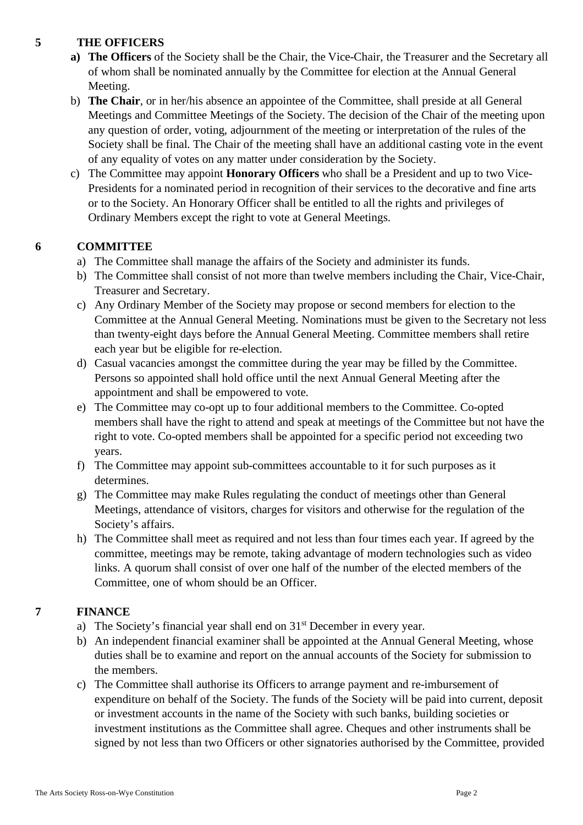# **5 THE OFFICERS**

- **a) The Officers** of the Society shall be the Chair, the Vice-Chair, the Treasurer and the Secretary all of whom shall be nominated annually by the Committee for election at the Annual General Meeting.
- b) **The Chair**, or in her/his absence an appointee of the Committee, shall preside at all General Meetings and Committee Meetings of the Society. The decision of the Chair of the meeting upon any question of order, voting, adjournment of the meeting or interpretation of the rules of the Society shall be final. The Chair of the meeting shall have an additional casting vote in the event of any equality of votes on any matter under consideration by the Society.
- c) The Committee may appoint **Honorary Officers** who shall be a President and up to two Vice-Presidents for a nominated period in recognition of their services to the decorative and fine arts or to the Society. An Honorary Officer shall be entitled to all the rights and privileges of Ordinary Members except the right to vote at General Meetings.

# **6 COMMITTEE**

- a) The Committee shall manage the affairs of the Society and administer its funds.
- b) The Committee shall consist of not more than twelve members including the Chair, Vice-Chair, Treasurer and Secretary.
- c) Any Ordinary Member of the Society may propose or second members for election to the Committee at the Annual General Meeting. Nominations must be given to the Secretary not less than twenty-eight days before the Annual General Meeting. Committee members shall retire each year but be eligible for re-election.
- d) Casual vacancies amongst the committee during the year may be filled by the Committee. Persons so appointed shall hold office until the next Annual General Meeting after the appointment and shall be empowered to vote.
- e) The Committee may co-opt up to four additional members to the Committee. Co-opted members shall have the right to attend and speak at meetings of the Committee but not have the right to vote. Co-opted members shall be appointed for a specific period not exceeding two years.
- f) The Committee may appoint sub-committees accountable to it for such purposes as it determines.
- g) The Committee may make Rules regulating the conduct of meetings other than General Meetings, attendance of visitors, charges for visitors and otherwise for the regulation of the Society's affairs.
- h) The Committee shall meet as required and not less than four times each year. If agreed by the committee, meetings may be remote, taking advantage of modern technologies such as video links. A quorum shall consist of over one half of the number of the elected members of the Committee, one of whom should be an Officer.

# **7 FINANCE**

- a) The Society's financial year shall end on 31<sup>st</sup> December in every year.
- b) An independent financial examiner shall be appointed at the Annual General Meeting, whose duties shall be to examine and report on the annual accounts of the Society for submission to the members.
- c) The Committee shall authorise its Officers to arrange payment and re-imbursement of expenditure on behalf of the Society. The funds of the Society will be paid into current, deposit or investment accounts in the name of the Society with such banks, building societies or investment institutions as the Committee shall agree. Cheques and other instruments shall be signed by not less than two Officers or other signatories authorised by the Committee, provided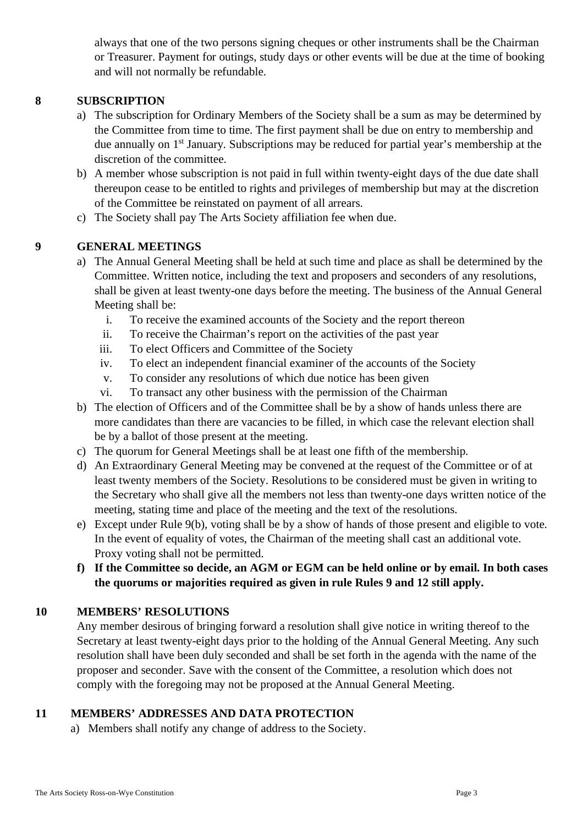always that one of the two persons signing cheques or other instruments shall be the Chairman or Treasurer. Payment for outings, study days or other events will be due at the time of booking and will not normally be refundable.

# **8 SUBSCRIPTION**

- a) The subscription for Ordinary Members of the Society shall be a sum as may be determined by the Committee from time to time. The first payment shall be due on entry to membership and due annually on 1<sup>st</sup> January. Subscriptions may be reduced for partial year's membership at the discretion of the committee.
- b) A member whose subscription is not paid in full within twenty-eight days of the due date shall thereupon cease to be entitled to rights and privileges of membership but may at the discretion of the Committee be reinstated on payment of all arrears.
- c) The Society shall pay The Arts Society affiliation fee when due.

#### **9 GENERAL MEETINGS**

- a) The Annual General Meeting shall be held at such time and place as shall be determined by the Committee. Written notice, including the text and proposers and seconders of any resolutions, shall be given at least twenty-one days before the meeting. The business of the Annual General Meeting shall be:
	- i. To receive the examined accounts of the Society and the report thereon
	- ii. To receive the Chairman's report on the activities of the past year
	- iii. To elect Officers and Committee of the Society
	- iv. To elect an independent financial examiner of the accounts of the Society
	- v. To consider any resolutions of which due notice has been given
	- vi. To transact any other business with the permission of the Chairman
- b) The election of Officers and of the Committee shall be by a show of hands unless there are more candidates than there are vacancies to be filled, in which case the relevant election shall be by a ballot of those present at the meeting.
- c) The quorum for General Meetings shall be at least one fifth of the membership.
- d) An Extraordinary General Meeting may be convened at the request of the Committee or of at least twenty members of the Society. Resolutions to be considered must be given in writing to the Secretary who shall give all the members not less than twenty-one days written notice of the meeting, stating time and place of the meeting and the text of the resolutions.
- e) Except under Rule 9(b), voting shall be by a show of hands of those present and eligible to vote. In the event of equality of votes, the Chairman of the meeting shall cast an additional vote. Proxy voting shall not be permitted.
- **f) If the Committee so decide, an AGM or EGM can be held online or by email. In both cases the quorums or majorities required as given in rule Rules 9 and 12 still apply.**

## **10 MEMBERS' RESOLUTIONS**

Any member desirous of bringing forward a resolution shall give notice in writing thereof to the Secretary at least twenty-eight days prior to the holding of the Annual General Meeting. Any such resolution shall have been duly seconded and shall be set forth in the agenda with the name of the proposer and seconder. Save with the consent of the Committee, a resolution which does not comply with the foregoing may not be proposed at the Annual General Meeting.

## **11 MEMBERS' ADDRESSES AND DATA PROTECTION**

a) Members shall notify any change of address to the Society.